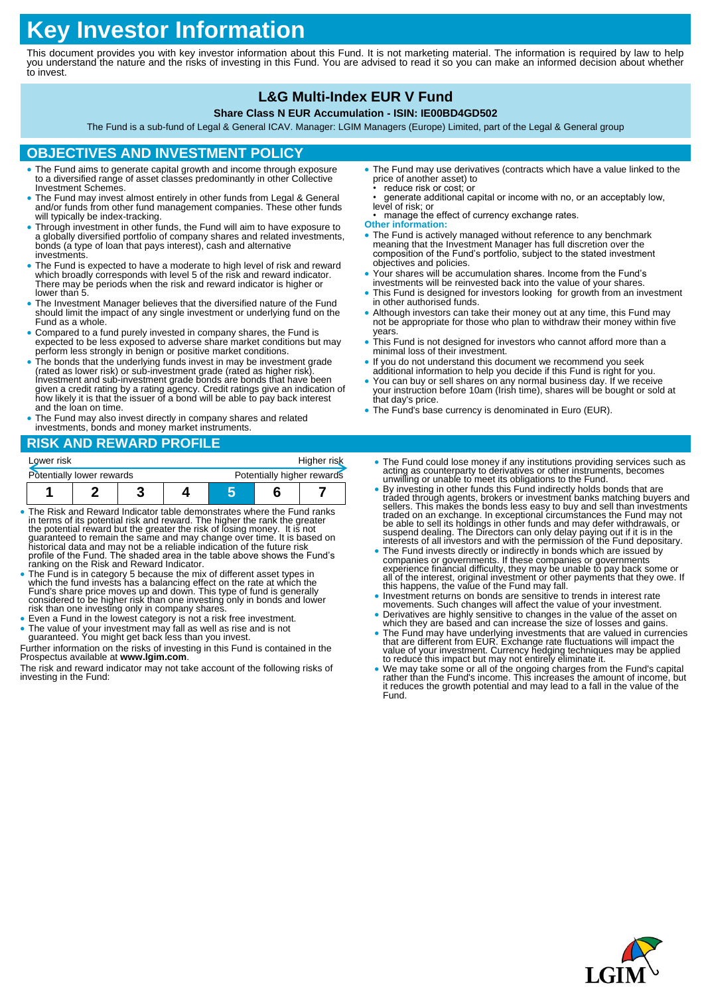# **Key Investor Information**

This document provides you with key investor information about this Fund. It is not marketing material. The information is required by law to help you understand the nature and the risks of investing in this Fund. You are advised to read it so you can make an informed decision about whether to invest.

# **L&G Multi-Index EUR V Fund**

#### **Share Class N EUR Accumulation - ISIN: IE00BD4GD502**

The Fund is a sub-fund of Legal & General ICAV. Manager: LGIM Managers (Europe) Limited, part of the Legal & General group

## **OBJECTIVES AND INVESTMENT POLICY**

- The Fund aims to generate capital growth and income through exposure to a diversified range of asset classes predominantly in other Collective Investment Schemes.
- The Fund may invest almost entirely in other funds from Legal & General and/or funds from other fund management companies. These other funds will typically be index-tracking.
- Through investment in other funds, the Fund will aim to have exposure to a globally diversified portfolio of company shares and related investments, bonds (a type of loan that pays interest), cash and alternative investments.
- The Fund is expected to have a moderate to high level of risk and reward which broadly corresponds with level 5 of the risk and reward indicator. There may be periods when the risk and reward indicator is higher or lower than 5.
- The Investment Manager believes that the diversified nature of the Fund should limit the impact of any single investment or underlying fund on the Fund as a whole.
- Compared to a fund purely invested in company shares, the Fund is expected to be less exposed to adverse share market conditions but may perform less strongly in benign or positive market conditions.
- The bonds that the underlying funds invest in may be investment grade (rated as lower risk) or sub-investment grade (rated as higher risk). Investment and sub-investment grade bonds are bonds that have been given a credit rating by a rating agency. Credit ratings give an indication of how likely it is that the issuer of a bond will be able to pay back interest and the loan on time.
- The Fund may also invest directly in company shares and related investments, bonds and money market instruments.

### **RISK AND REWARD PROFILE**

| Lower risk                |  |  |  | Higher risk                |  |  |
|---------------------------|--|--|--|----------------------------|--|--|
| Potentially lower rewards |  |  |  | Potentially higher rewards |  |  |
|                           |  |  |  |                            |  |  |

- The Risk and Reward Indicator table demonstrates where the Fund ranks in terms of its potential risk and reward. The higher the rank the greater<br>the potential reward but the greater the risk of losing money. It is not<br>guaranteed to remain the same and may change over time. It is based on<br>his
- The Fund is in category 5 because the mix of different asset types in<br>which the fund invests has a balancing effect on the rate at which the<br>Fund's share price moves up and down. This type of tund is generally<br>considered risk than one investing only in company shares
- Even a Fund in the lowest category is not a risk free investment. The value of your investment may fall as well as rise and is not guaranteed. You might get back less than you invest.
- Further information on the risks of investing in this Fund is contained in the Prospectus available at **www.lgim.com**.

The risk and reward indicator may not take account of the following risks of investing in the Fund:

- The Fund may use derivatives (contracts which have a value linked to the price of another asset) to
- reduce risk or cost; or • generate additional capital or income with no, or an acceptably low, level of risk; or
- refer the effect of currency exchange rates. **Other information:**
- The Fund is actively managed without reference to any benchmark meaning that the Investment Manager has full discretion over the composition of the Fund's portfolio, subject to the stated investment objectives and policies.
- Your shares will be accumulation shares. Income from the Fund's investments will be reinvested back into the value of your shares.
- This Fund is designed for investors looking for growth from an investment in other authorised funds.
- Although investors can take their money out at any time, this Fund may not be appropriate for those who plan to withdraw their money within five years.
- This Fund is not designed for investors who cannot afford more than a minimal loss of their investment.
- If you do not understand this document we recommend you seek additional information to help you decide if this Fund is right for you.
- You can buy or sell shares on any normal business day. If we receive your instruction before 10am (Irish time), shares will be bought or sold at that day's price.
- The Fund's base currency is denominated in Euro (EUR).
	- The Fund could lose money if any institutions providing services such as acting as counterparty to derivatives or other instruments, becomes unwilling or unable to meet its obligations to the Fund.
	- By investing in other funds this Fund indirectly holds bonds that are traded through agents, brokers or investment banks matching buyers and sellers. This makes the bonds less easy to buy and sell than investments traded suspend dealing. The Directors can only delay paying out if it is in the interests of all investors and with the permission of the Fund depositary.
	- The Fund invests directly or indirectly in bonds which are issued by companies or governments. If these companies or governments experience financial difficulty, they may be unable to pay back some or all of the interest, original investment or other payments that they owe. If this happens, the value of the Fund may fall.
	-
	- Investment returns on bonds are sensitive to trends in interest rate<br>movements. Such changes will affect the value of your investment.<br>• Derivatives are highly sensitive to changes in the value of the asset on<br>which they
	- The Fund may have underlying investments that are valued in currencies<br>that are different from EUR. Exchange rate fluctuations will impact the<br>value of your investment. Currency hedging techniques may be applied<br>to reduc
	- We may take some or all of the ongoing charges from the Fund's capital rather than the Fund's income. This increases the amount of income, but it reduces the growth potential and may lead to a fall in the value of the Fund.